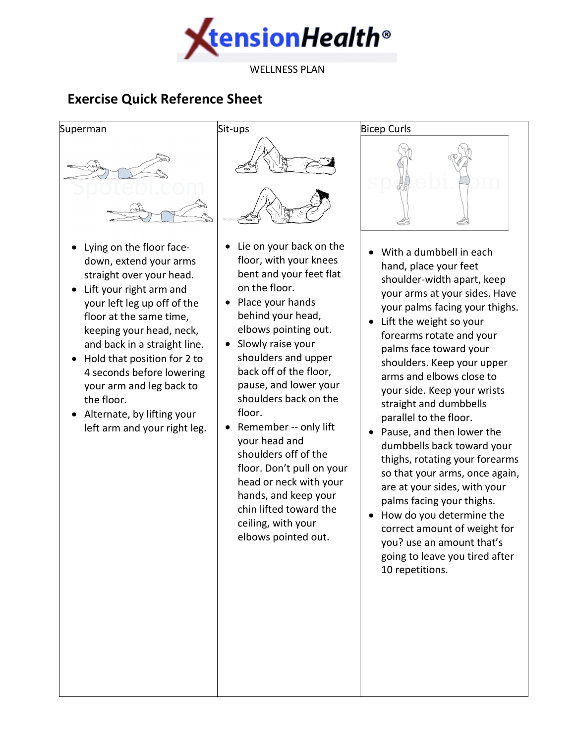

# **Exercise Quick Reference Sheet**



- Lying on the floor facedown, extend your arms straight over your head.
- Lift your right arm and your left leg up off of the floor at the same time, keeping your head, neck, and back in a straight line.
- Hold that position for 2 to 4 seconds before lowering your arm and leg back to the floor.
- Alternate, by lifting your left arm and your right leg.



- Lie on your back on the floor, with your knees bent and your feet flat on the floor.
- Place your hands behind your head, elbows pointing out.
- Slowly raise your shoulders and upper back off of the floor, pause, and lower your shoulders back on the floor.
- Remember -- only lift your head and shoulders off of the floor. Don't pull on your head or neck with your hands, and keep your chin lifted toward the ceiling, with your elbows pointed out.



- With a dumbbell in each hand, place your feet shoulder-width apart, keep your arms at your sides. Have your palms facing your thighs.
- Lift the weight so your forearms rotate and your palms face toward your shoulders. Keep your upper arms and elbows close to your side. Keep your wrists straight and dumbbells parallel to the floor.
- Pause, and then lower the dumbbells back toward your thighs, rotating your forearms so that your arms, once again, are at your sides, with your palms facing your thighs.
- How do you determine the correct amount of weight for you? use an amount that's going to leave you tired after 10 repetitions.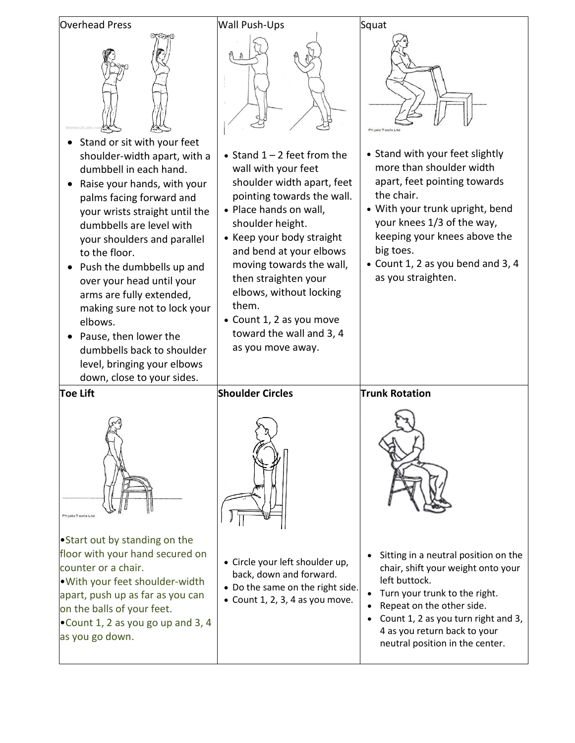| <b>Overhead Press</b>                                                                                                                                                                                                                                                                                                                                                                                                                                                                 | <b>Wall Push-Ups</b>                                                                                                                                                                                                                                                                                                                                                                        | Squat                                                                                                                                                                                                                                                                                                |
|---------------------------------------------------------------------------------------------------------------------------------------------------------------------------------------------------------------------------------------------------------------------------------------------------------------------------------------------------------------------------------------------------------------------------------------------------------------------------------------|---------------------------------------------------------------------------------------------------------------------------------------------------------------------------------------------------------------------------------------------------------------------------------------------------------------------------------------------------------------------------------------------|------------------------------------------------------------------------------------------------------------------------------------------------------------------------------------------------------------------------------------------------------------------------------------------------------|
| Stand or sit with your feet<br>shoulder-width apart, with a<br>dumbbell in each hand.<br>Raise your hands, with your<br>palms facing forward and<br>your wrists straight until the<br>dumbbells are level with<br>your shoulders and parallel<br>to the floor.<br>Push the dumbbells up and<br>over your head until your<br>arms are fully extended,<br>making sure not to lock your<br>elbows.<br>Pause, then lower the<br>dumbbells back to shoulder<br>level, bringing your elbows | • Stand $1 - 2$ feet from the<br>wall with your feet<br>shoulder width apart, feet<br>pointing towards the wall.<br>• Place hands on wall,<br>shoulder height.<br>• Keep your body straight<br>and bend at your elbows<br>moving towards the wall,<br>then straighten your<br>elbows, without locking<br>them.<br>• Count 1, 2 as you move<br>toward the wall and 3, 4<br>as you move away. | Physio Tools L<br>• Stand with your feet slightly<br>more than shoulder width<br>apart, feet pointing towards<br>the chair.<br>• With your trunk upright, bend<br>your knees 1/3 of the way,<br>keeping your knees above the<br>big toes.<br>• Count 1, 2 as you bend and 3, 4<br>as you straighten. |
| down, close to your sides.                                                                                                                                                                                                                                                                                                                                                                                                                                                            |                                                                                                                                                                                                                                                                                                                                                                                             |                                                                                                                                                                                                                                                                                                      |
| <b>Toe Lift</b>                                                                                                                                                                                                                                                                                                                                                                                                                                                                       | <b>Shoulder Circles</b>                                                                                                                                                                                                                                                                                                                                                                     | <b>Trunk Rotation</b>                                                                                                                                                                                                                                                                                |
| Physio Tools Ltd                                                                                                                                                                                                                                                                                                                                                                                                                                                                      |                                                                                                                                                                                                                                                                                                                                                                                             |                                                                                                                                                                                                                                                                                                      |
| • Start out by standing on the<br>floor with your hand secured on<br>counter or a chair.<br>. With your feet shoulder-width<br>apart, push up as far as you can<br>on the balls of your feet.<br>. Count 1, 2 as you go up and 3, 4<br>as you go down.                                                                                                                                                                                                                                | • Circle your left shoulder up,<br>back, down and forward.<br>• Do the same on the right side.<br>• Count 1, 2, 3, 4 as you move.                                                                                                                                                                                                                                                           | Sitting in a neutral position on the<br>chair, shift your weight onto your<br>left buttock.<br>Turn your trunk to the right.<br>Repeat on the other side.<br>Count 1, 2 as you turn right and 3,<br>4 as you return back to your<br>neutral position in the center.                                  |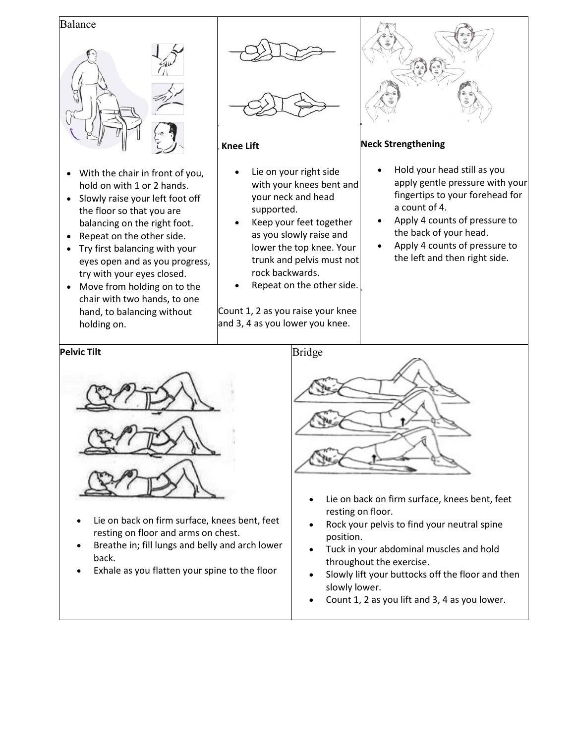#### Balance



- With the chair in front of you, hold on with 1 or 2 hands.
- Slowly raise your left foot off the floor so that you are balancing on the right foot.
- Repeat on the other side.
- Try first balancing with your eyes open and as you progress, try with your eyes closed.
- Move from holding on to the chair with two hands, to one hand, to balancing without holding on.





#### **Knee Lift**

- Lie on your right side with your knees bent and your neck and head supported.
- Keep your feet together as you slowly raise and lower the top knee. Your trunk and pelvis must not rock backwards.
- Repeat on the other side.

Count 1, 2 as you raise your knee and 3, 4 as you lower you knee.



### **Neck Strengthening**

- Hold your head still as you apply gentle pressure with your fingertips to your forehead for a count of 4.
- Apply 4 counts of pressure to the back of your head.
- Apply 4 counts of pressure to the left and then right side.



- Lie on back on firm surface, knees bent, feet resting on floor and arms on chest.
- Breathe in; fill lungs and belly and arch lower back.
- Exhale as you flatten your spine to the floor



- Lie on back on firm surface, knees bent, feet resting on floor.
- Rock your pelvis to find your neutral spine position.
- Tuck in your abdominal muscles and hold throughout the exercise.
- Slowly lift your buttocks off the floor and then slowly lower.
- Count 1, 2 as you lift and 3, 4 as you lower.

#### **Pelvic Tilt**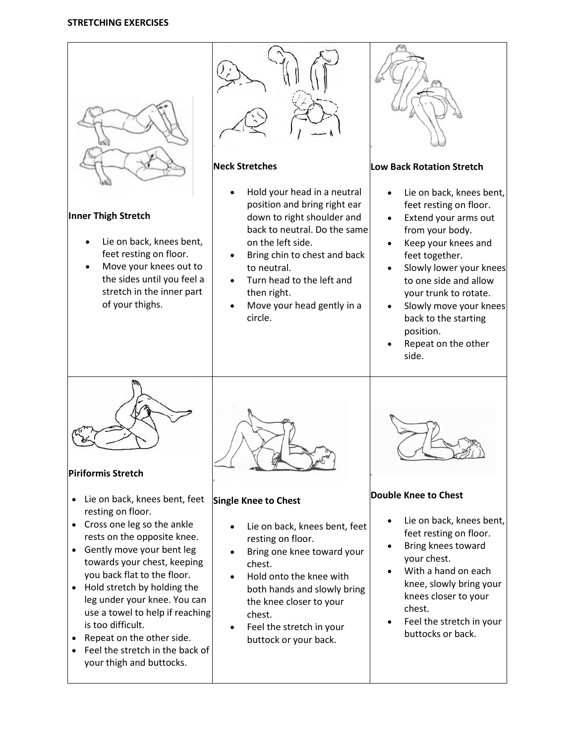